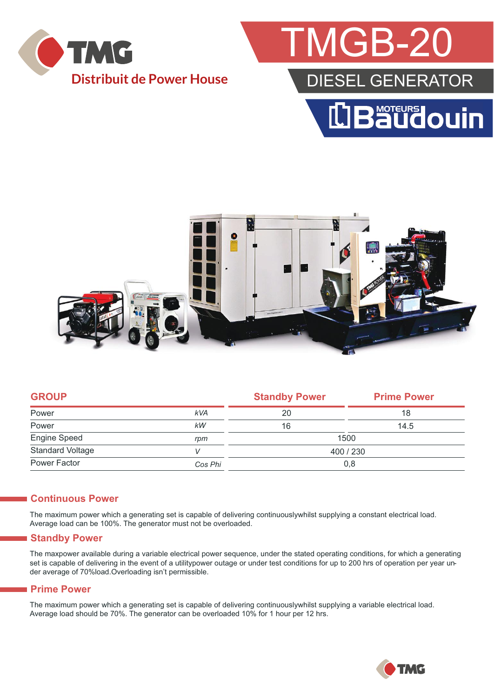

## TMGB-20 DIESEL GENERATOR LBaudouin



|            | <b>Standby Power</b> | <b>Prime Power</b> |  |
|------------|----------------------|--------------------|--|
| <b>kVA</b> | 20                   | 18                 |  |
| kW         | 16                   | 14.5               |  |
| rpm        | 1500                 |                    |  |
|            | 400 / 230            |                    |  |
| Cos Phi    | 0,8                  |                    |  |
|            |                      |                    |  |

#### **Continuous Power**

The maximum power which a generating set is capable of delivering continuouslywhilst supplying a constant electrical load. Average load can be 100%. The generator must not be overloaded.

#### **Standby Power**

The maxpower available during a variable electrical power sequence, under the stated operating conditions, for which a generating set is capable of delivering in the event of a utilitypower outage or under test conditions for up to 200 hrs of operation per year under average of 70%load.Overloading isn't permissible.

#### **Prime Power**

The maximum power which a generating set is capable of delivering continuouslywhilst supplying a variable electrical load. Average load should be 70%. The generator can be overloaded 10% for 1 hour per 12 hrs.

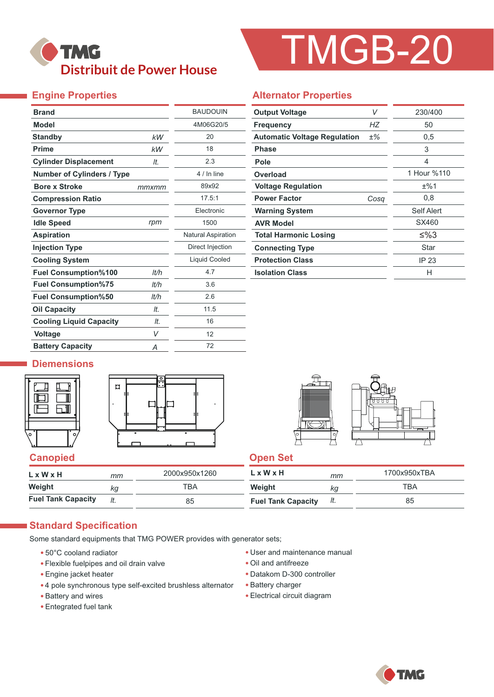### **TMG Distribuit de Power House**

# TMGB-20

#### **Engine Properties**

| <b>Brand</b>                      |       | <b>BAUDOUIN</b>           |
|-----------------------------------|-------|---------------------------|
| <b>Model</b>                      |       | 4M06G20/5                 |
| <b>Standby</b>                    | kW    | 20                        |
| <b>Prime</b>                      | kW    | 18                        |
| <b>Cylinder Displacement</b>      | It.   | 2.3                       |
| <b>Number of Cylinders / Type</b> |       | 4 / In line               |
| <b>Bore x Stroke</b>              | mmxmm | 89x92                     |
| <b>Compression Ratio</b>          |       | 17.5:1                    |
| <b>Governor Type</b>              |       | Electronic                |
| <b>Idle Speed</b>                 | rpm   | 1500                      |
| <b>Aspiration</b>                 |       | <b>Natural Aspiration</b> |
| <b>Injection Type</b>             |       | Direct Injection          |
| <b>Cooling System</b>             |       | Liquid Cooled             |
| <b>Fuel Consumption%100</b>       | lt/h  | 4.7                       |
| <b>Fuel Consumption%75</b>        | It/h  | 3.6                       |
| <b>Fuel Consumption%50</b>        | It/h  | 2.6                       |
| <b>Oil Capacity</b>               | It.   | 11.5                      |
| <b>Cooling Liquid Capacity</b>    | It.   | 16                        |
| <b>Voltage</b>                    | V     | 12                        |
| <b>Battery Capacity</b>           | Α     | 72                        |

#### **Alternator Properties**

| V<br><b>Output Voltage</b>          |       | 230/400     |  |  |
|-------------------------------------|-------|-------------|--|--|
| <b>Frequency</b>                    | НZ    | 50          |  |  |
| <b>Automatic Voltage Regulation</b> | $±\%$ | 0,5         |  |  |
| Phase                               |       | 3           |  |  |
| Pole                                |       | 4           |  |  |
| Overload                            |       | 1 Hour %110 |  |  |
| <b>Voltage Regulation</b>           |       | ±%1         |  |  |
| <b>Power Factor</b>                 | Cosa  | 0,8         |  |  |
| <b>Warning System</b>               |       | Self Alert  |  |  |
| <b>AVR Model</b>                    |       | SX460       |  |  |
| <b>Total Harmonic Losing</b>        |       | ≤%3         |  |  |
| <b>Connecting Type</b>              |       | Star        |  |  |
| <b>Protection Class</b>             |       | IP 23       |  |  |
| <b>Isolation Class</b>              |       | н           |  |  |

#### **Diemensions**







| L x W x H                 | mт | 2000x950x1260 | L x W x H                 | mm  | 1700x950xTBA |
|---------------------------|----|---------------|---------------------------|-----|--------------|
| Weight                    | Кa | ТВА           | Weight                    | Кg  | TBA          |
| <b>Fuel Tank Capacity</b> |    | 85            | <b>Fuel Tank Capacity</b> | It. | 85           |

#### **Standard Specification**

Some standard equipments that TMG POWER provides with generator sets;

- 50°C cooland radiator
- Flexible fuelpipes and oil drain valve
- Engine jacket heater
- 4 pole synchronous type self-excited brushless alternator
- Battery and wires
- Entegrated fuel tank
- User and maintenance manual
- Oil and antifreeze
- Datakom D-300 controller
- Battery charger
- Electrical circuit diagram